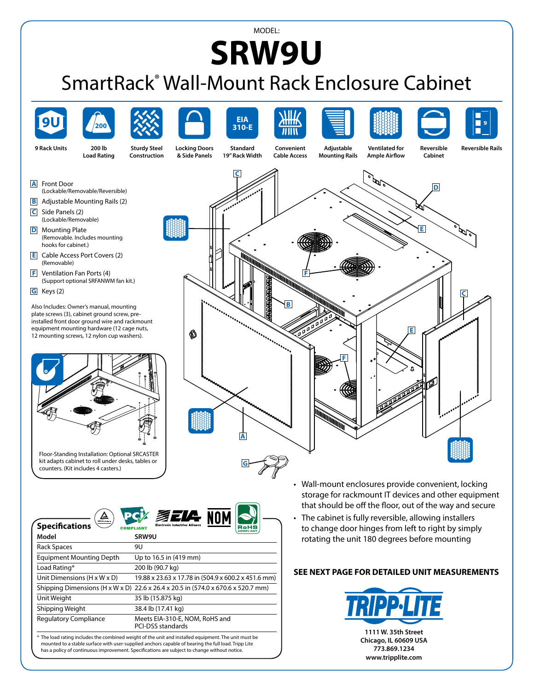## MODEL: **SRW9U**

## SmartRack® Wall-Mount Rack Enclosure Cabinet





| Model                                                                                                                                                                                                                                                                                                       | SRW9U                                                                            |
|-------------------------------------------------------------------------------------------------------------------------------------------------------------------------------------------------------------------------------------------------------------------------------------------------------------|----------------------------------------------------------------------------------|
| Rack Spaces                                                                                                                                                                                                                                                                                                 | 9U                                                                               |
| <b>Equipment Mounting Depth</b>                                                                                                                                                                                                                                                                             | Up to 16.5 in (419 mm)                                                           |
| Load Rating*                                                                                                                                                                                                                                                                                                | 200 lb (90.7 kg)                                                                 |
| Unit Dimensions $(H \times W \times D)$                                                                                                                                                                                                                                                                     | 19.88 x 23.63 x 17.78 in (504.9 x 600.2 x 451.6 mm)                              |
|                                                                                                                                                                                                                                                                                                             | Shipping Dimensions (H x W x D) 22.6 x 26.4 x 20.5 in (574.0 x 670.6 x 520.7 mm) |
| Unit Weight                                                                                                                                                                                                                                                                                                 | 35 lb (15.875 kg)                                                                |
| Shipping Weight                                                                                                                                                                                                                                                                                             | 38.4 lb (17.41 kg)                                                               |
| <b>Regulatory Compliance</b>                                                                                                                                                                                                                                                                                | Meets EIA-310-E, NOM, RoHS and<br><b>PCI-DSS standards</b>                       |
| * The load rating includes the combined weight of the unit and installed equipment. The unit must be<br>mounted to a stable surface with user-supplied anchors capable of bearing the full load. Tripp Lite<br>has a policy of continuous improvement. Specifications are subject to change without notice. |                                                                                  |

- storage for rackmount IT devices and other equipment that should be off the floor, out of the way and secure
- The cabinet is fully reversible, allowing installers to change door hinges from left to right by simply rotating the unit 180 degrees before mounting

## **SEE NEXT PAGE FOR DETAILED UNIT MEASUREMENTS**